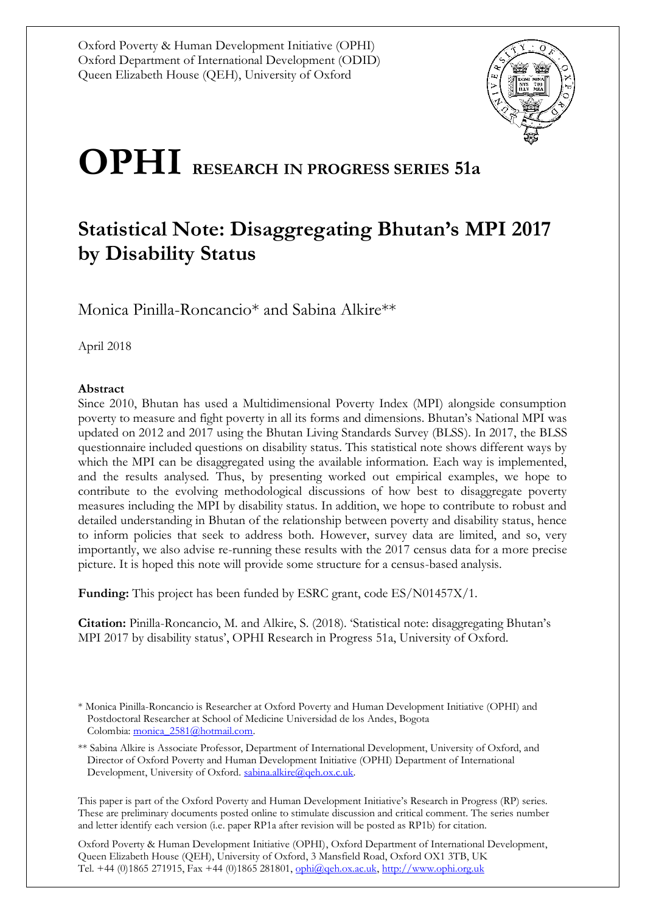

# **OPHI RESEARCH IN PROGRESS SERIES 51a**

## **Statistical Note: Disaggregating Bhutan's MPI 2017 by Disability Status**

Monica Pinilla-Roncancio\* and Sabina Alkire\*\*

April 2018

### **Abstract**

Since 2010, Bhutan has used a Multidimensional Poverty Index (MPI) alongside consumption poverty to measure and fight poverty in all its forms and dimensions. Bhutan's National MPI was updated on 2012 and 2017 using the Bhutan Living Standards Survey (BLSS). In 2017, the BLSS questionnaire included questions on disability status. This statistical note shows different ways by which the MPI can be disaggregated using the available information. Each way is implemented, and the results analysed. Thus, by presenting worked out empirical examples, we hope to contribute to the evolving methodological discussions of how best to disaggregate poverty measures including the MPI by disability status. In addition, we hope to contribute to robust and detailed understanding in Bhutan of the relationship between poverty and disability status, hence to inform policies that seek to address both. However, survey data are limited, and so, very importantly, we also advise re-running these results with the 2017 census data for a more precise picture. It is hoped this note will provide some structure for a census-based analysis.

**Funding:** This project has been funded by ESRC grant, code ES/N01457X/1.

**Citation:** Pinilla-Roncancio, M. and Alkire, S. (2018). 'Statistical note: disaggregating Bhutan's MPI 2017 by disability status', OPHI Research in Progress 51a, University of Oxford.

This paper is part of the Oxford Poverty and Human Development Initiative's Research in Progress (RP) series. These are preliminary documents posted online to stimulate discussion and critical comment. The series number and letter identify each version (i.e. paper RP1a after revision will be posted as RP1b) for citation.

Oxford Poverty & Human Development Initiative (OPHI), Oxford Department of International Development, Queen Elizabeth House (QEH), University of Oxford, 3 Mansfield Road, Oxford OX1 3TB, UK Tel. +44 (0)1865 271915, Fax +44 (0)1865 281801[, ophi@qeh.ox.ac.uk,](mailto:ophi@qeh.ox.ac.uk) [http://www.ophi.org.uk](http://www.ophi.org.uk/)

<sup>\*</sup> Monica Pinilla-Roncancio is Researcher at Oxford Poverty and Human Development Initiative (OPHI) and Postdoctoral Researcher at School of Medicine Universidad de los Andes, Bogota Colombia: monica 2581@hotmail.com.

<sup>\*\*</sup> Sabina Alkire is Associate Professor, Department of International Development, University of Oxford, and Director of Oxford Poverty and Human Development Initiative (OPHI) Department of International Development, University of Oxford. [sabina.alkire@qeh.ox.c.uk.](mailto:sabina.alkire@qeh.ox.c.uk)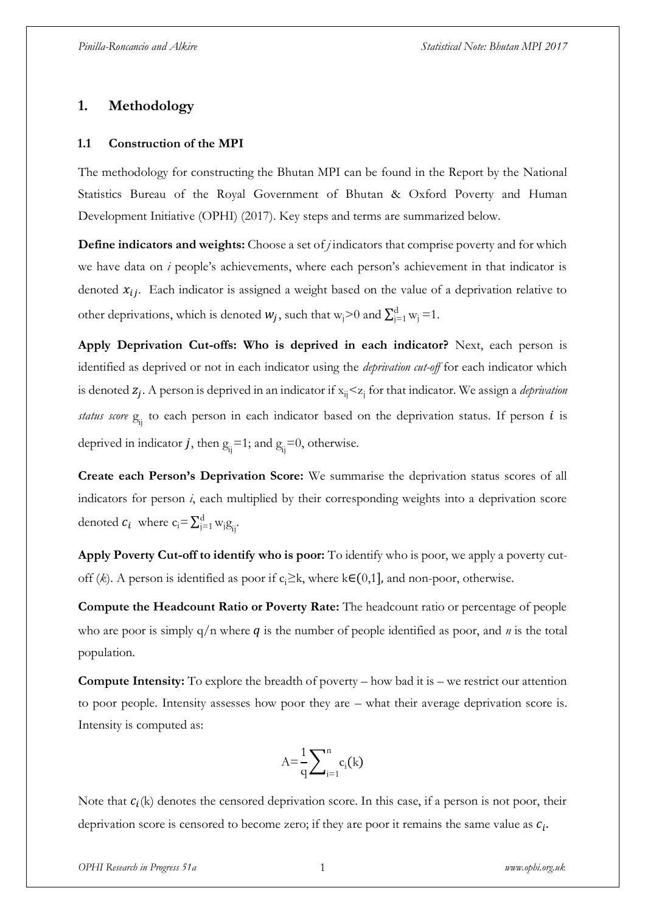### **1. Methodology**

### **1.1 Construction of the MPI**

The methodology for constructing the Bhutan MPI can be found in the Report by the National Statistics Bureau of the Royal Government of Bhutan & Oxford Poverty and Human Development Initiative (OPHI) (2017). Key steps and terms are summarized below.

**Define indicators and weights:** Choose a set of *j* indicators that comprise poverty and for which we have data on *i* people's achievements, where each person's achievement in that indicator is denoted  $x_{ij}$ . Each indicator is assigned a weight based on the value of a deprivation relative to other deprivations, which is denoted  $w_j$ , such that w<sub>j</sub>>0 and  $\sum_{j=1}^d w_j = 1$ .

**Apply Deprivation Cut-offs: Who is deprived in each indicator?** Next, each person is identified as deprived or not in each indicator using the *deprivation cut-off* for each indicator which is denoted  $z_j$ . A person is deprived in an indicator if  $x_{ij} < z_j$  for that indicator. We assign a *deprivation* status score  $g_{ij}$  to each person in each indicator based on the deprivation status. If person *i* is deprived in indicator *j*, then  $g_{ij} = 1$ ; and  $g_{ij} = 0$ , otherwise.

**Create each Person's Deprivation Score:** We summarise the deprivation status scores of all indicators for person *i*, each multiplied by their corresponding weights into a deprivation score denoted  $c_i$  where  $c_i = \sum_{j=1}^d w_j g_{ij}$  $i=1 \text{W}_j \text{g}_i$ .

**Apply Poverty Cut-off to identify who is poor:** To identify who is poor, we apply a poverty cutoff (*k*). A person is identified as poor if c<sub>i</sub>≥k, where k∈(0,1], and non-poor, otherwise.

**Compute the Headcount Ratio or Poverty Rate:** The headcount ratio or percentage of people who are poor is simply  $q/n$  where  $q$  is the number of people identified as poor, and  $n$  is the total population.

**Compute Intensity:** To explore the breadth of poverty – how bad it is – we restrict our attention to poor people. Intensity assesses how poor they are – what their average deprivation score is. Intensity is computed as:

$$
A{=}\frac{1}{q}{\sum}_{i=1}^n c_i(k)
$$

Note that  $c_i(k)$  denotes the censored deprivation score. In this case, if a person is not poor, their deprivation score is censored to become zero; if they are poor it remains the same value as  $c_i$ .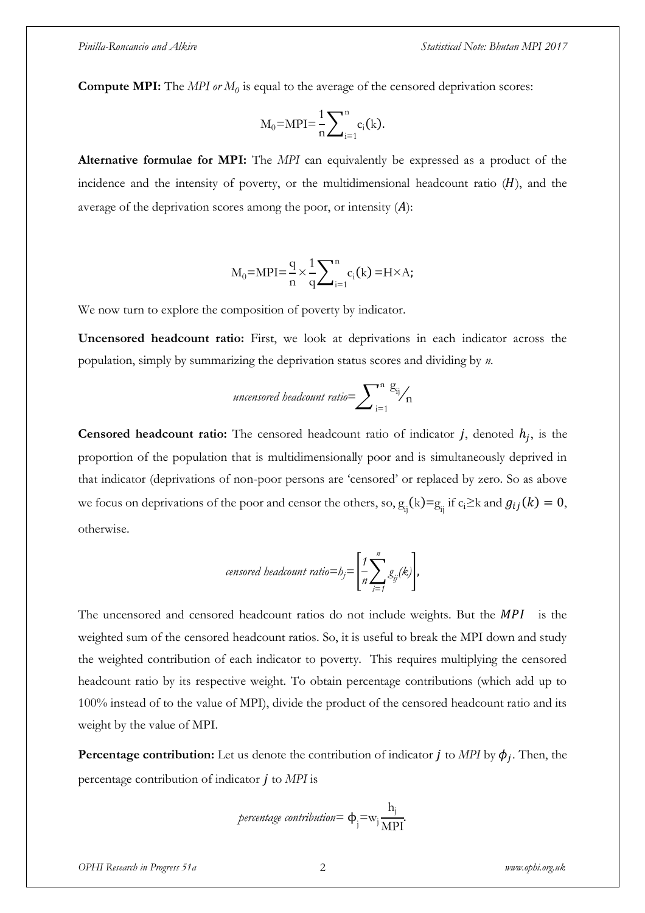**Compute MPI:** The *MPI or M<sup>0</sup>* is equal to the average of the censored deprivation scores:

$$
M_0 = \text{MPI} = \frac{1}{n} \sum\nolimits_{i=1}^n c_i(k).
$$

**Alternative formulae for MPI:** The *MPI* can equivalently be expressed as a product of the incidence and the intensity of poverty, or the multidimensional headcount ratio  $(H)$ , and the average of the deprivation scores among the poor, or intensity  $(A)$ :

$$
M_0 = MPI = \frac{q}{n} \times \frac{1}{q} \sum_{i=1}^{n} c_i(k) = H \times A;
$$

We now turn to explore the composition of poverty by indicator.

**Uncensored headcount ratio:** First, we look at deprivations in each indicator across the population, simply by summarizing the deprivation status scores and dividing by *n.*

*uncensored headcount ratio* = 
$$
\sum_{i=1}^{n} \frac{g_{ij}}{n}
$$

**Censored headcount ratio:** The censored headcount ratio of indicator  $j$ , denoted  $h_j$ , is the proportion of the population that is multidimensionally poor and is simultaneously deprived in that indicator (deprivations of non-poor persons are 'censored' or replaced by zero. So as above we focus on deprivations of the poor and censor the others, so,  $g_{ij}(k) = g_{ij}$  if  $c_i \ge k$  and  $g_{ij}(k) = 0$ , otherwise.

$$
censored\;beadcount\;ratio = b_j = \left[\frac{1}{n}\sum_{i=1}^n g_{ij}(k)\right],
$$

The uncensored and censored headcount ratios do not include weights. But the  $MPI$  is the weighted sum of the censored headcount ratios. So, it is useful to break the MPI down and study the weighted contribution of each indicator to poverty. This requires multiplying the censored headcount ratio by its respective weight. To obtain percentage contributions (which add up to 100% instead of to the value of MPI), divide the product of the censored headcount ratio and its weight by the value of MPI.

**Percentage contribution:** Let us denote the contribution of indicator  $j$  to *MPI* by  $\phi_j$ . Then, the percentage contribution of indicator *j* to *MPI* is

$$
percentage\ contribution = \Phi_j = w_j \frac{h_j}{MPI}.
$$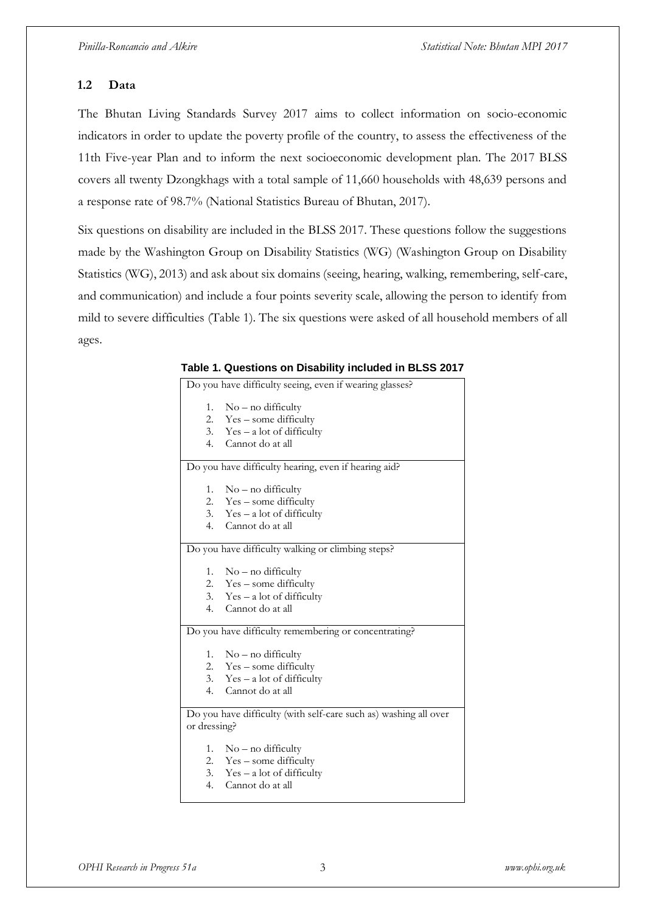### **1.2 Data**

The Bhutan Living Standards Survey 2017 aims to collect information on socio-economic indicators in order to update the poverty profile of the country, to assess the effectiveness of the 11th Five-year Plan and to inform the next socioeconomic development plan. The 2017 BLSS covers all twenty Dzongkhags with a total sample of 11,660 households with 48,639 persons and a response rate of 98.7% (National Statistics Bureau of Bhutan, 2017).

Six questions on disability are included in the BLSS 2017. These questions follow the suggestions made by the Washington Group on Disability Statistics (WG) (Washington Group on Disability Statistics (WG), 2013) and ask about six domains (seeing, hearing, walking, remembering, self-care, and communication) and include a four points severity scale, allowing the person to identify from mild to severe difficulties (Table 1). The six questions were asked of all household members of all ages.

| Do you have difficulty seeing, even if wearing glasses?          |
|------------------------------------------------------------------|
| $No$ – no difficulty<br>1.                                       |
| 2.<br>Yes – some difficulty                                      |
| 3. $Yes - a lot of difficulty$                                   |
| 4. Cannot do at all                                              |
| Do you have difficulty hearing, even if hearing aid?             |
| 1.<br>$No$ – no difficulty                                       |
| 2. Yes – some difficulty                                         |
| 3. $Yes - a lot of difficulty$                                   |
| 4. Cannot do at all                                              |
| Do you have difficulty walking or climbing steps?                |
| $No$ – no difficulty<br>1.                                       |
| 2. Yes – some difficulty                                         |
| 3. Yes – a lot of difficulty                                     |
| Cannot do at all<br>4.                                           |
| Do you have difficulty remembering or concentrating?             |
| 1. $No$ – no difficulty                                          |
| 2. Yes – some difficulty                                         |
| 3. $Yes - a lot of difficulty$                                   |
| Cannot do at all<br>4 <sup>1</sup>                               |
| Do you have difficulty (with self-care such as) washing all over |
| or dressing?                                                     |
| 1. No – no difficulty                                            |
| 2. Yes – some difficulty                                         |
| 3. Yes – a lot of difficulty                                     |
| 4.<br>Cannot do at all                                           |

|  | Table 1. Questions on Disability included in BLSS 2017 |  |  |  |  |  |
|--|--------------------------------------------------------|--|--|--|--|--|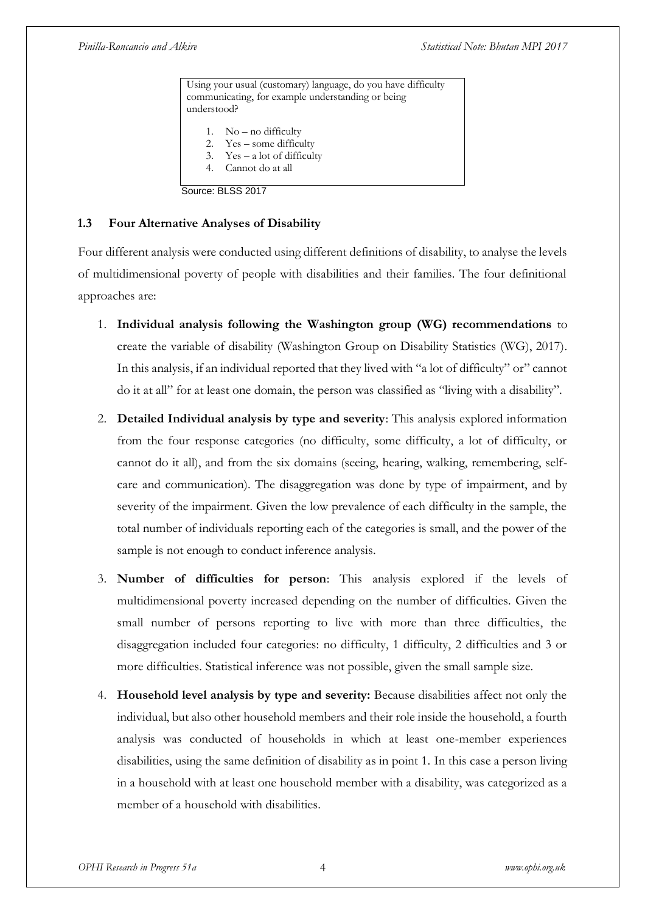Using your usual (customary) language, do you have difficulty communicating, for example understanding or being understood? 1. No – no difficulty 2. Yes – some difficulty 3. Yes – a lot of difficulty 4. Cannot do at all

Source: BLSS 2017

### **1.3 Four Alternative Analyses of Disability**

Four different analysis were conducted using different definitions of disability, to analyse the levels of multidimensional poverty of people with disabilities and their families. The four definitional approaches are:

- 1. **Individual analysis following the Washington group (WG) recommendations** to create the variable of disability (Washington Group on Disability Statistics (WG), 2017). In this analysis, if an individual reported that they lived with "a lot of difficulty" or" cannot do it at all" for at least one domain, the person was classified as "living with a disability".
- 2. **Detailed Individual analysis by type and severity**: This analysis explored information from the four response categories (no difficulty, some difficulty, a lot of difficulty, or cannot do it all), and from the six domains (seeing, hearing, walking, remembering, selfcare and communication). The disaggregation was done by type of impairment, and by severity of the impairment. Given the low prevalence of each difficulty in the sample, the total number of individuals reporting each of the categories is small, and the power of the sample is not enough to conduct inference analysis.
- 3. **Number of difficulties for person**: This analysis explored if the levels of multidimensional poverty increased depending on the number of difficulties. Given the small number of persons reporting to live with more than three difficulties, the disaggregation included four categories: no difficulty, 1 difficulty, 2 difficulties and 3 or more difficulties. Statistical inference was not possible, given the small sample size.
- 4. **Household level analysis by type and severity:** Because disabilities affect not only the individual, but also other household members and their role inside the household, a fourth analysis was conducted of households in which at least one-member experiences disabilities, using the same definition of disability as in point 1. In this case a person living in a household with at least one household member with a disability, was categorized as a member of a household with disabilities.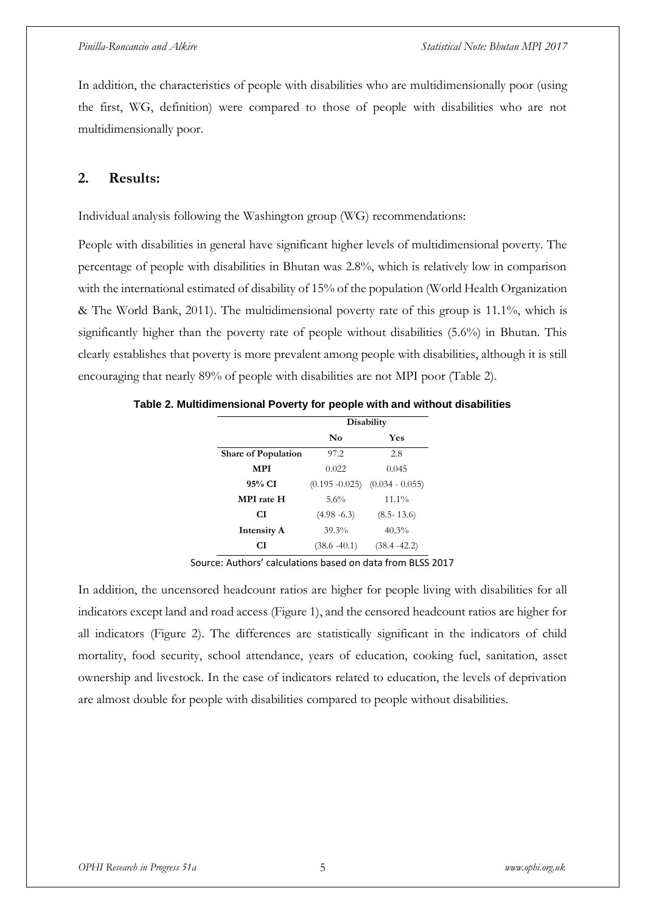In addition, the characteristics of people with disabilities who are multidimensionally poor (using the first, WG, definition) were compared to those of people with disabilities who are not multidimensionally poor.

### **2. Results:**

Individual analysis following the Washington group (WG) recommendations:

People with disabilities in general have significant higher levels of multidimensional poverty. The percentage of people with disabilities in Bhutan was 2.8%, which is relatively low in comparison with the international estimated of disability of 15% of the population (World Health Organization & The World Bank, 2011). The multidimensional poverty rate of this group is 11.1%, which is significantly higher than the poverty rate of people without disabilities (5.6%) in Bhutan. This clearly establishes that poverty is more prevalent among people with disabilities, although it is still encouraging that nearly 89% of people with disabilities are not MPI poor (Table 2).

**Table 2. Multidimensional Poverty for people with and without disabilities**

|                            |                 | Disability                          |
|----------------------------|-----------------|-------------------------------------|
|                            | No              | Yes                                 |
| <b>Share of Population</b> | 97.2            | 2.8                                 |
| <b>MPI</b>                 | 0.022           | 0.045                               |
| 95% CI                     |                 | $(0.195 - 0.025)$ $(0.034 - 0.055)$ |
| <b>MPI</b> rate H          | 5.6%            | $11.1\%$                            |
| СI                         | $(4.98 - 6.3)$  | $(8.5 - 13.6)$                      |
| <b>Intensity A</b>         | 39.3%           | $40.3\%$                            |
| СI                         | $(38.6 - 40.1)$ | $(38.4 - 42.2)$                     |

Source: Authors' calculations based on data from BLSS 2017

In addition, the uncensored headcount ratios are higher for people living with disabilities for all indicators except land and road access (Figure 1), and the censored headcount ratios are higher for all indicators (Figure 2). The differences are statistically significant in the indicators of child mortality, food security, school attendance, years of education, cooking fuel, sanitation, asset ownership and livestock. In the case of indicators related to education, the levels of deprivation are almost double for people with disabilities compared to people without disabilities.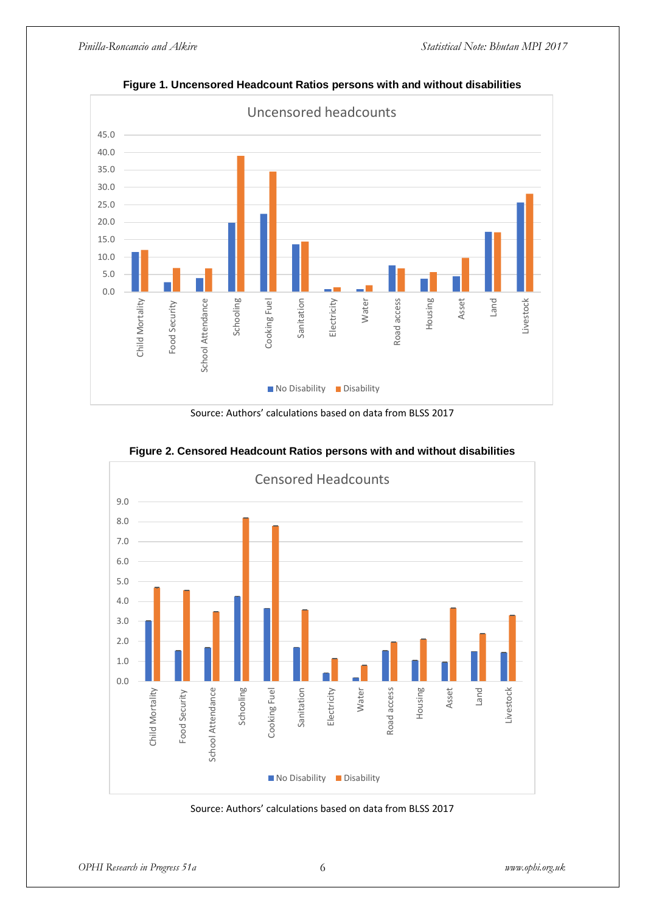

**Figure 1. Uncensored Headcount Ratios persons with and without disabilities**

Source: Authors' calculations based on data from BLSS 2017



**Figure 2. Censored Headcount Ratios persons with and without disabilities**

Source: Authors' calculations based on data from BLSS 2017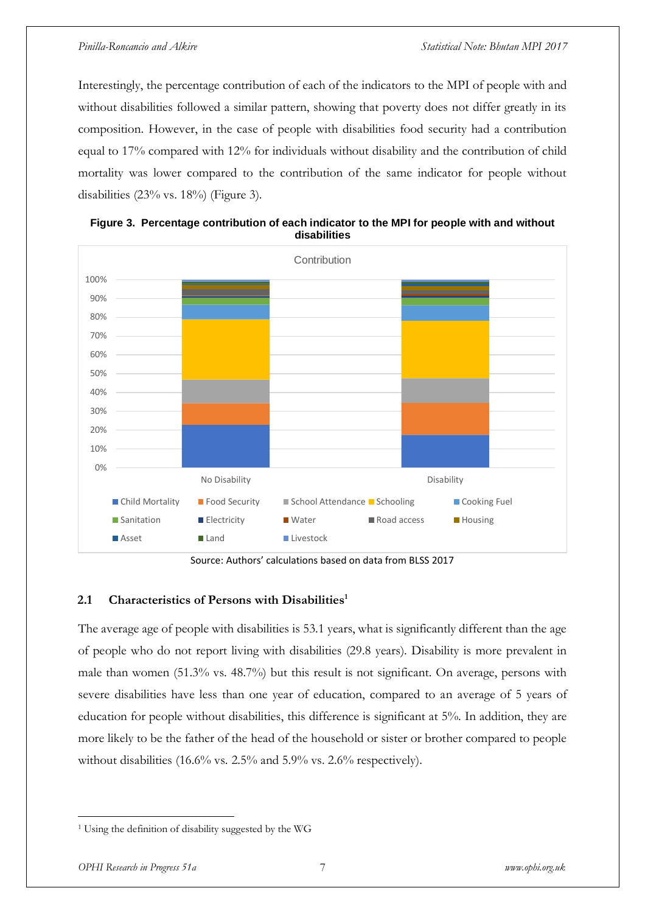Interestingly, the percentage contribution of each of the indicators to the MPI of people with and without disabilities followed a similar pattern, showing that poverty does not differ greatly in its composition. However, in the case of people with disabilities food security had a contribution equal to 17% compared with 12% for individuals without disability and the contribution of child mortality was lower compared to the contribution of the same indicator for people without disabilities (23% vs. 18%) (Figure 3).



**Figure 3. Percentage contribution of each indicator to the MPI for people with and without disabilities** 

Source: Authors' calculations based on data from BLSS 2017

### **2.1 Characteristics of Persons with Disabilities<sup>1</sup>**

The average age of people with disabilities is 53.1 years, what is significantly different than the age of people who do not report living with disabilities (29.8 years). Disability is more prevalent in male than women (51.3% vs. 48.7%) but this result is not significant. On average, persons with severe disabilities have less than one year of education, compared to an average of 5 years of education for people without disabilities, this difference is significant at 5%. In addition, they are more likely to be the father of the head of the household or sister or brother compared to people without disabilities (16.6% vs. 2.5% and 5.9% vs. 2.6% respectively).

 $\overline{a}$ 

<sup>1</sup> Using the definition of disability suggested by the WG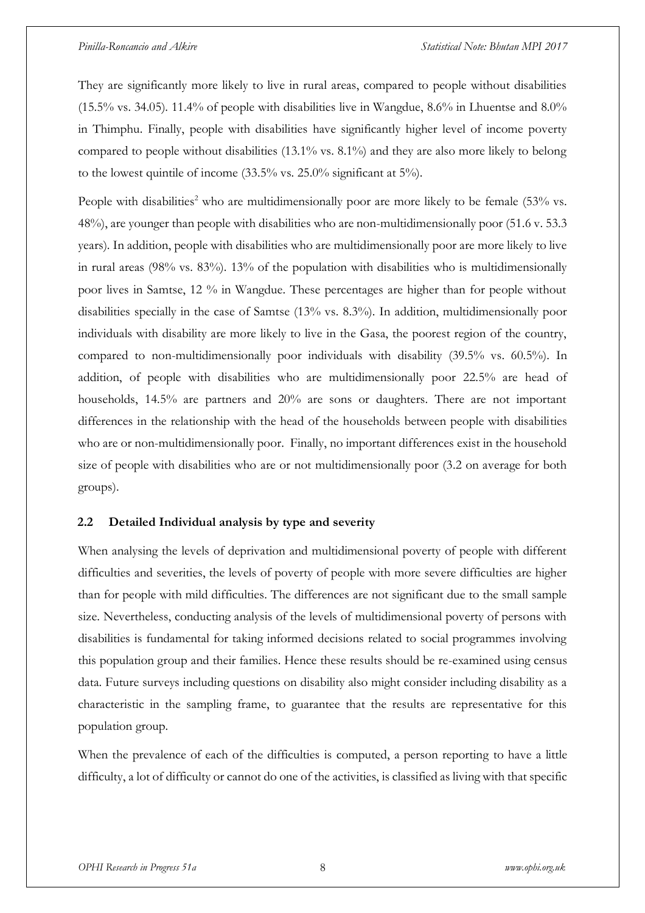They are significantly more likely to live in rural areas, compared to people without disabilities (15.5% vs. 34.05). 11.4% of people with disabilities live in Wangdue, 8.6% in Lhuentse and 8.0% in Thimphu. Finally, people with disabilities have significantly higher level of income poverty compared to people without disabilities (13.1% vs. 8.1%) and they are also more likely to belong to the lowest quintile of income (33.5% vs. 25.0% significant at 5%).

People with disabilities<sup>2</sup> who are multidimensionally poor are more likely to be female  $(53\%$  vs. 48%), are younger than people with disabilities who are non-multidimensionally poor (51.6 v. 53.3 years). In addition, people with disabilities who are multidimensionally poor are more likely to live in rural areas (98% vs. 83%). 13% of the population with disabilities who is multidimensionally poor lives in Samtse, 12 % in Wangdue. These percentages are higher than for people without disabilities specially in the case of Samtse (13% vs. 8.3%). In addition, multidimensionally poor individuals with disability are more likely to live in the Gasa, the poorest region of the country, compared to non-multidimensionally poor individuals with disability (39.5% vs. 60.5%). In addition, of people with disabilities who are multidimensionally poor 22.5% are head of households, 14.5% are partners and 20% are sons or daughters. There are not important differences in the relationship with the head of the households between people with disabilities who are or non-multidimensionally poor. Finally, no important differences exist in the household size of people with disabilities who are or not multidimensionally poor (3.2 on average for both groups).

### **2.2 Detailed Individual analysis by type and severity**

When analysing the levels of deprivation and multidimensional poverty of people with different difficulties and severities, the levels of poverty of people with more severe difficulties are higher than for people with mild difficulties. The differences are not significant due to the small sample size. Nevertheless, conducting analysis of the levels of multidimensional poverty of persons with disabilities is fundamental for taking informed decisions related to social programmes involving this population group and their families. Hence these results should be re-examined using census data. Future surveys including questions on disability also might consider including disability as a characteristic in the sampling frame, to guarantee that the results are representative for this population group.

When the prevalence of each of the difficulties is computed, a person reporting to have a little difficulty, a lot of difficulty or cannot do one of the activities, is classified as living with that specific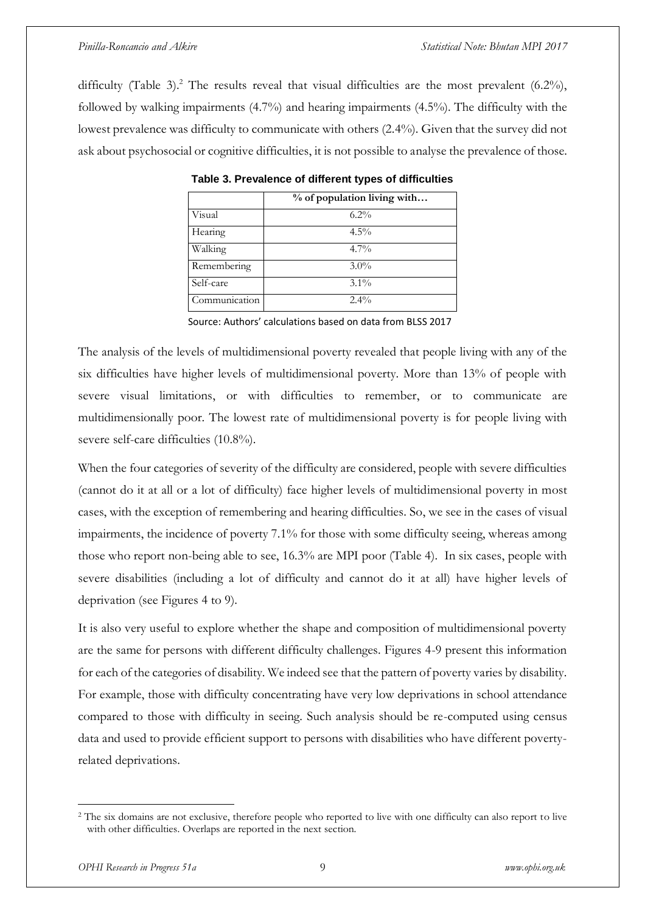difficulty (Table 3).<sup>2</sup> The results reveal that visual difficulties are the most prevalent (6.2%), followed by walking impairments (4.7%) and hearing impairments (4.5%). The difficulty with the lowest prevalence was difficulty to communicate with others (2.4%). Given that the survey did not ask about psychosocial or cognitive difficulties, it is not possible to analyse the prevalence of those.

|               | % of population living with |
|---------------|-----------------------------|
| Visual        | $6.2\%$                     |
| Hearing       | $4.5\%$                     |
| Walking       | $4.7\%$                     |
| Remembering   | $3.0\%$                     |
| Self-care     | $3.1\%$                     |
| Communication | $2.4\%$                     |

**Table 3. Prevalence of different types of difficulties**

Source: Authors' calculations based on data from BLSS 2017

The analysis of the levels of multidimensional poverty revealed that people living with any of the six difficulties have higher levels of multidimensional poverty. More than 13% of people with severe visual limitations, or with difficulties to remember, or to communicate are multidimensionally poor. The lowest rate of multidimensional poverty is for people living with severe self-care difficulties (10.8%).

When the four categories of severity of the difficulty are considered, people with severe difficulties (cannot do it at all or a lot of difficulty) face higher levels of multidimensional poverty in most cases, with the exception of remembering and hearing difficulties. So, we see in the cases of visual impairments, the incidence of poverty 7.1% for those with some difficulty seeing, whereas among those who report non-being able to see, 16.3% are MPI poor (Table 4). In six cases, people with severe disabilities (including a lot of difficulty and cannot do it at all) have higher levels of deprivation (see Figures 4 to 9).

It is also very useful to explore whether the shape and composition of multidimensional poverty are the same for persons with different difficulty challenges. Figures 4-9 present this information for each of the categories of disability. We indeed see that the pattern of poverty varies by disability. For example, those with difficulty concentrating have very low deprivations in school attendance compared to those with difficulty in seeing. Such analysis should be re-computed using census data and used to provide efficient support to persons with disabilities who have different povertyrelated deprivations.

 $\overline{a}$ 

<sup>&</sup>lt;sup>2</sup> The six domains are not exclusive, therefore people who reported to live with one difficulty can also report to live with other difficulties. Overlaps are reported in the next section.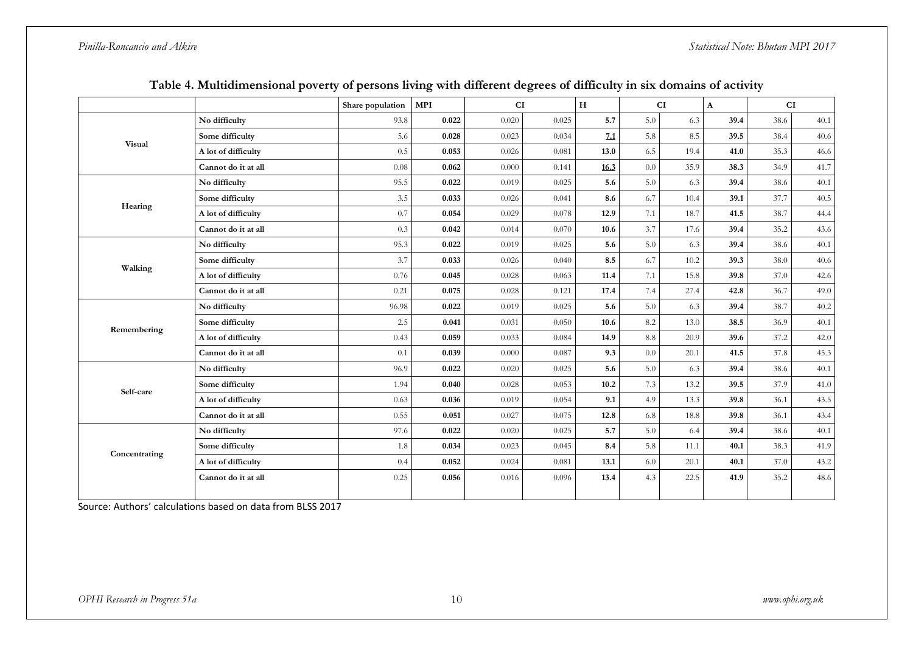*Pinilla-Roncancio and Alkire Statistical Note: Bhutan MPI 2017*

|               |                                                                | Share population | <b>MPI</b> | CI    |       | H    |                 | CI   | $\mathbf{A}$ |              | CI   |
|---------------|----------------------------------------------------------------|------------------|------------|-------|-------|------|-----------------|------|--------------|--------------|------|
|               | No difficulty                                                  | 93.8             | 0.022      | 0.020 | 0.025 | 5.7  | 5.0             | 6.3  | 39.4         | 38.6         | 40.1 |
| Visual        | Some difficulty                                                | 5.6              | 0.028      | 0.023 | 0.034 | 7.1  | 5.8             | 8.5  | 39.5         | 38.4         | 40.6 |
|               | A lot of difficulty                                            | 0.5              | 0.053      | 0.026 | 0.081 | 13.0 | 6.5             | 19.4 | 41.0         | 35.3         | 46.6 |
|               | Cannot do it at all                                            | 0.08             | 0.062      | 0.000 | 0.141 | 16.3 | 0.0             | 35.9 | 38.3         | 34.9         | 41.7 |
|               | No difficulty                                                  | 95.5             | 0.022      | 0.019 | 0.025 | 5.6  | 5.0             | 6.3  | 39.4         | 38.6         | 40.1 |
| Hearing       | Some difficulty                                                | 3.5              | 0.033      | 0.026 | 0.041 | 8.6  | 6.7             | 10.4 | 39.1         | 37.7         | 40.5 |
|               | A lot of difficulty                                            | 0.7              | 0.054      | 0.029 | 0.078 | 12.9 | 7.1             | 18.7 | 41.5         | 38.7         | 44.4 |
|               | Cannot do it at all                                            | 0.3              | 0.042      | 0.014 | 0.070 | 10.6 | 3.7             | 17.6 | 39.4         | 35.2         | 43.6 |
|               | No difficulty                                                  | 95.3             | 0.022      | 0.019 | 0.025 | 5.6  | 5.0             | 6.3  | 39.4         | 38.6         | 40.1 |
| Walking       | Some difficulty                                                | 3.7              | 0.033      | 0.026 | 0.040 | 8.5  | 6.7             | 10.2 | 39.3         | 38.0         | 40.6 |
|               | A lot of difficulty                                            | 0.76             | 0.045      | 0.028 | 0.063 | 11.4 | 7.1             | 15.8 | 39.8         | 37.0         | 42.6 |
|               | Cannot do it at all                                            | 0.21             | 0.075      | 0.028 | 0.121 | 17.4 | 7.4             | 27.4 | 42.8         | 36.7         | 49.0 |
|               | No difficulty                                                  | 96.98            | 0.022      | 0.019 | 0.025 | 5.6  | 5.0             | 6.3  | 39.4         | 38.7         | 40.2 |
| Remembering   | Some difficulty                                                | 2.5              | 0.041      | 0.031 | 0.050 | 10.6 | 8.2             | 13.0 | 38.5         | 36.9         | 40.1 |
|               | A lot of difficulty                                            | 0.43             | 0.059      | 0.033 | 0.084 | 14.9 | $\!\!\!\!\!8.8$ | 20.9 | 39.6         | 37.2         | 42.0 |
|               | Cannot do it at all                                            | 0.1              | 0.039      | 0.000 | 0.087 | 9.3  | 0.0             | 20.1 | 41.5         | 37.8         | 45.3 |
|               | No difficulty                                                  | 96.9             | 0.022      | 0.020 | 0.025 | 5.6  | 5.0             | 6.3  | 39.4         | 38.6         | 40.1 |
| Self-care     | Some difficulty                                                | 1.94             | 0.040      | 0.028 | 0.053 | 10.2 | 7.3             | 13.2 | 39.5         | 37.9         | 41.0 |
|               | A lot of difficulty                                            | 0.63             | 0.036      | 0.019 | 0.054 | 9.1  | 4.9             | 13.3 | 39.8         | 36.1         | 43.5 |
|               | 0.075<br>Cannot do it at all<br>0.55<br>0.051<br>0.027<br>12.8 | 6.8              | 18.8       | 39.8  | 36.1  | 43.4 |                 |      |              |              |      |
|               | No difficulty                                                  | 97.6             | 0.022      | 0.020 | 0.025 | 5.7  | 5.0             | 6.4  | 39.4         | 38.6         | 40.1 |
|               | Some difficulty                                                | 1.8              | 0.034      | 0.023 | 0.045 | 8.4  | 5.8             | 11.1 | 40.1         | 41.9<br>38.3 |      |
| Concentrating | A lot of difficulty                                            | 0.4              | 0.052      | 0.024 | 0.081 | 13.1 | 6.0             | 20.1 | 40.1         | 37.0         | 43.2 |
|               | Cannot do it at all                                            | 0.25             | 0.056      | 0.016 | 0.096 | 13.4 | 4.3             | 22.5 | 41.9         | 35.2         | 48.6 |
|               |                                                                |                  |            |       |       |      |                 |      |              |              |      |

### **Table 4. Multidimensional poverty of persons living with different degrees of difficulty in six domains of activity**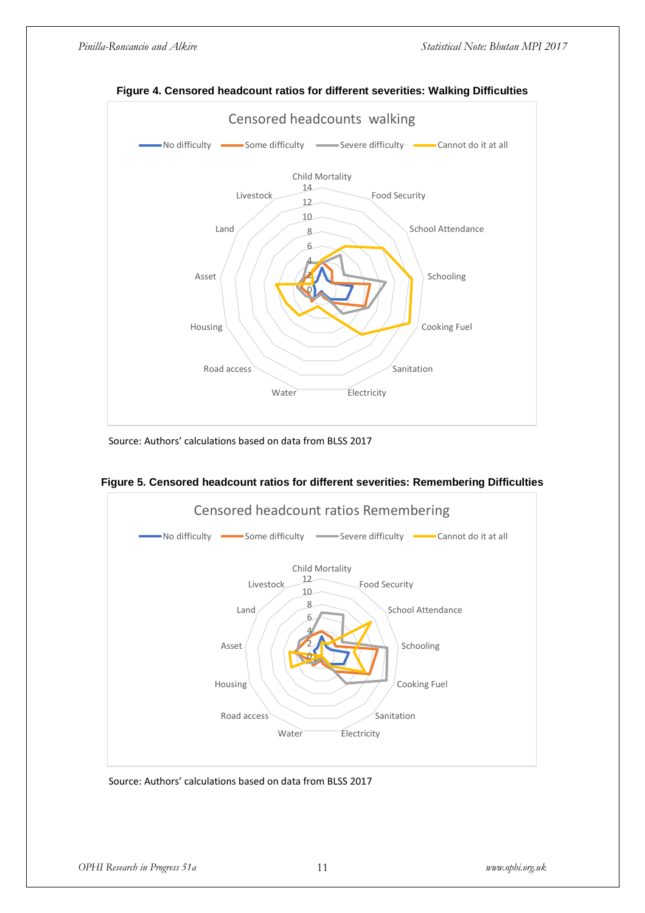

**Figure 4. Censored headcount ratios for different severities: Walking Difficulties**

Source: Authors' calculations based on data from BLSS 2017



**Figure 5. Censored headcount ratios for different severities: Remembering Difficulties**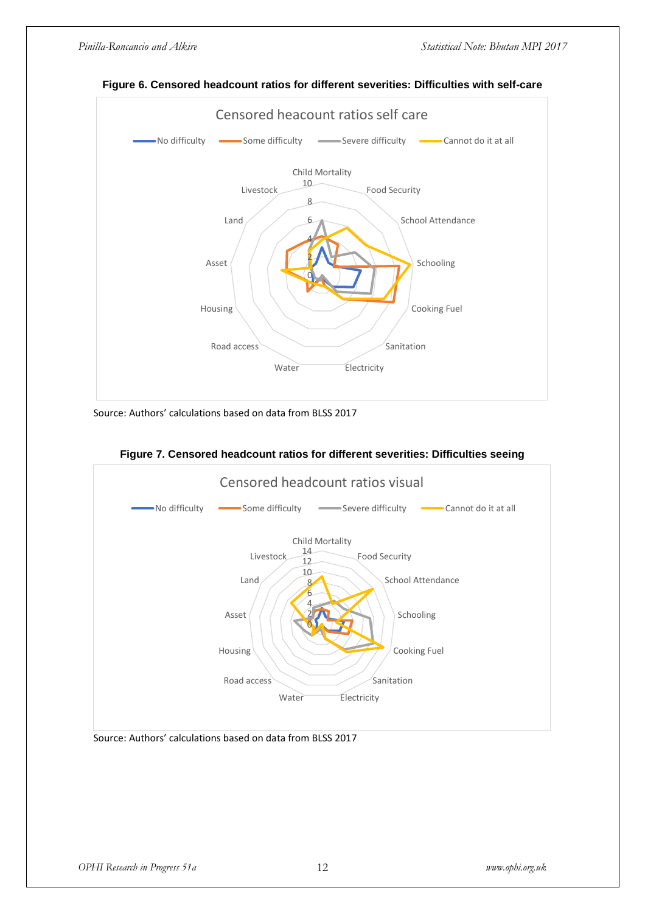

### **Figure 6. Censored headcount ratios for different severities: Difficulties with self-care**

Source: Authors' calculations based on data from BLSS 2017



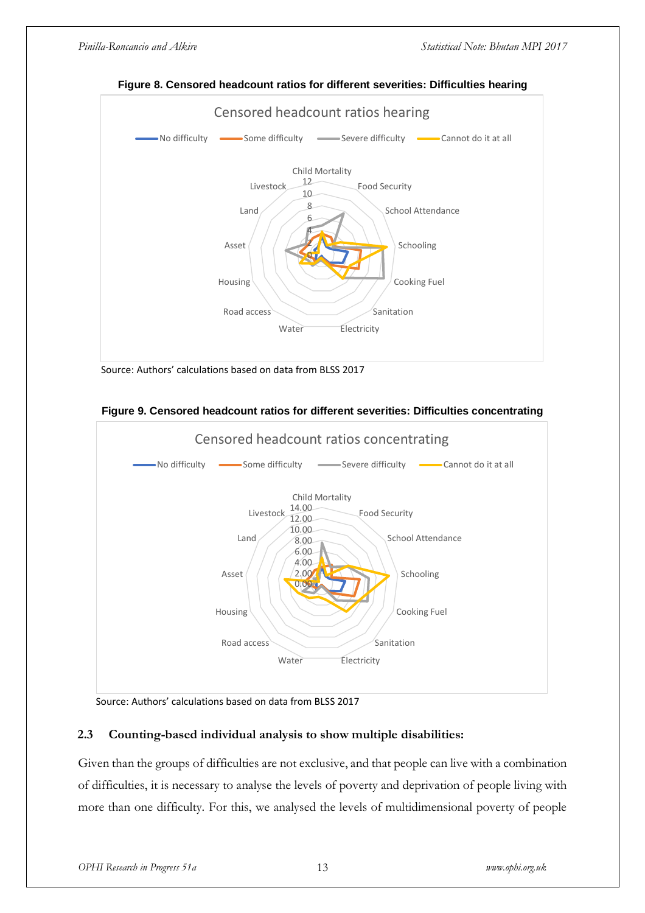

**Figure 8. Censored headcount ratios for different severities: Difficulties hearing** 

Source: Authors' calculations based on data from BLSS 2017





Source: Authors' calculations based on data from BLSS 2017

### **2.3 Counting-based individual analysis to show multiple disabilities:**

Given than the groups of difficulties are not exclusive, and that people can live with a combination of difficulties, it is necessary to analyse the levels of poverty and deprivation of people living with more than one difficulty. For this, we analysed the levels of multidimensional poverty of people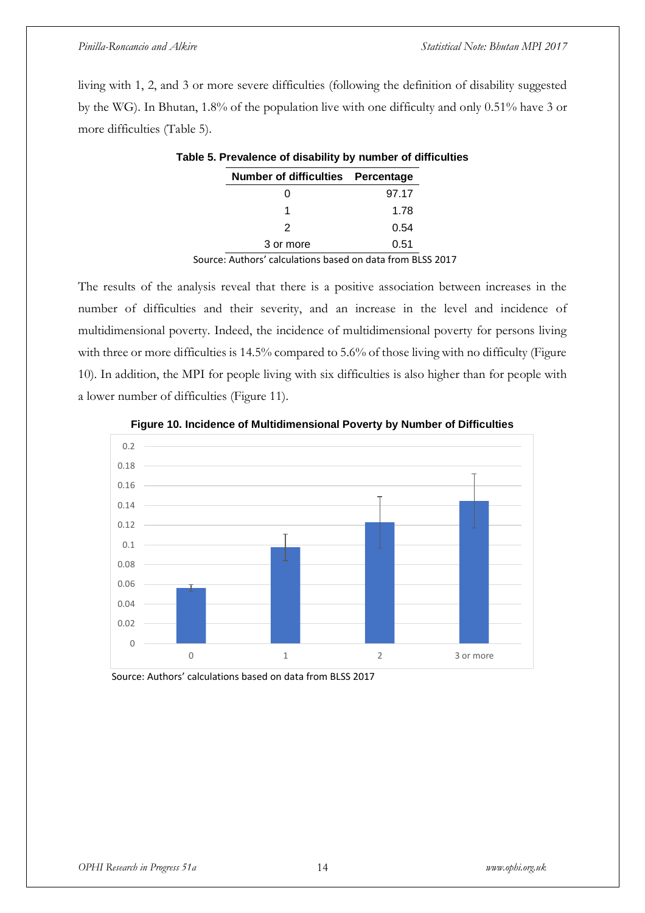living with 1, 2, and 3 or more severe difficulties (following the definition of disability suggested by the WG). In Bhutan, 1.8% of the population live with one difficulty and only 0.51% have 3 or more difficulties (Table 5).

| Number of difficulties Percentage |       |
|-----------------------------------|-------|
|                                   | 97.17 |
|                                   | 1.78  |
| 2                                 | 0.54  |
| 3 or more                         | 0.51  |

### **Table 5. Prevalence of disability by number of difficulties**

Source: Authors' calculations based on data from BLSS 2017

The results of the analysis reveal that there is a positive association between increases in the number of difficulties and their severity, and an increase in the level and incidence of multidimensional poverty. Indeed, the incidence of multidimensional poverty for persons living with three or more difficulties is 14.5% compared to 5.6% of those living with no difficulty (Figure 10). In addition, the MPI for people living with six difficulties is also higher than for people with a lower number of difficulties (Figure 11).



**Figure 10. Incidence of Multidimensional Poverty by Number of Difficulties**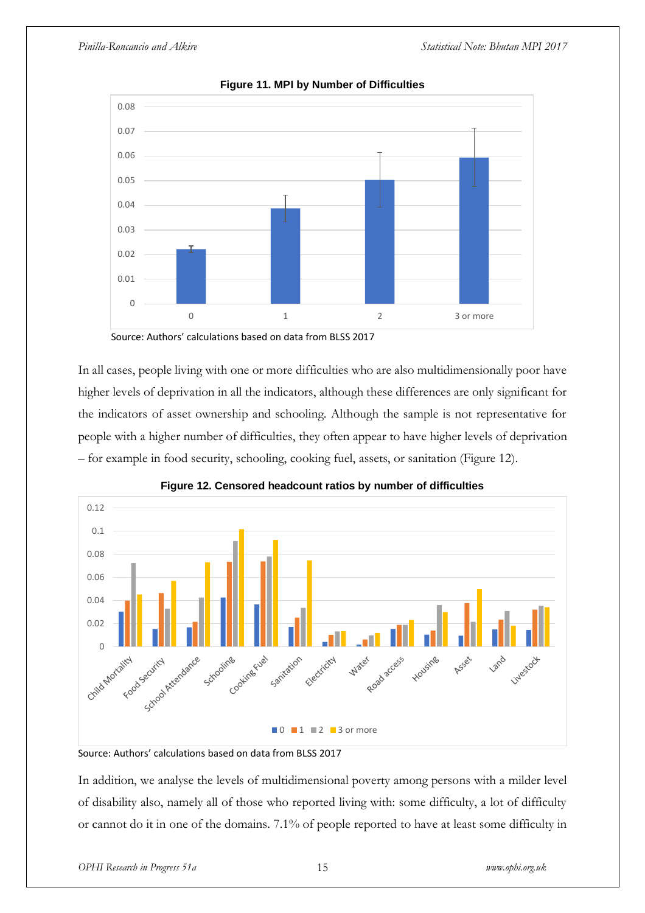

**Figure 11. MPI by Number of Difficulties**

Source: Authors' calculations based on data from BLSS 2017

In all cases, people living with one or more difficulties who are also multidimensionally poor have higher levels of deprivation in all the indicators, although these differences are only significant for the indicators of asset ownership and schooling. Although the sample is not representative for people with a higher number of difficulties, they often appear to have higher levels of deprivation – for example in food security, schooling, cooking fuel, assets, or sanitation (Figure 12).





Source: Authors' calculations based on data from BLSS 2017

In addition, we analyse the levels of multidimensional poverty among persons with a milder level of disability also, namely all of those who reported living with: some difficulty, a lot of difficulty or cannot do it in one of the domains. 7.1% of people reported to have at least some difficulty in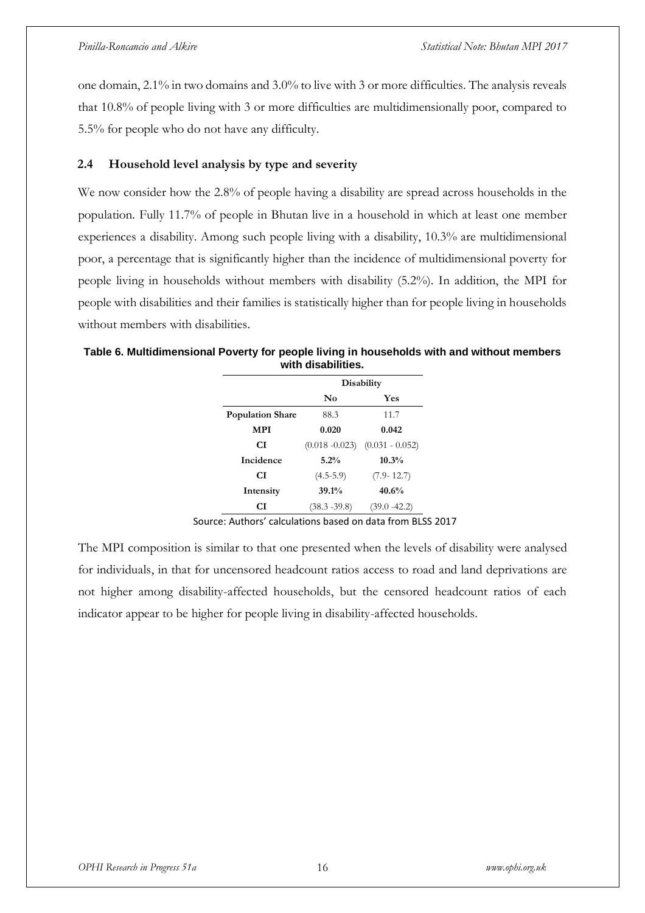one domain, 2.1% in two domains and 3.0% to live with 3 or more difficulties. The analysis reveals that 10.8% of people living with 3 or more difficulties are multidimensionally poor, compared to 5.5% for people who do not have any difficulty.

### **2.4 Household level analysis by type and severity**

We now consider how the 2.8% of people having a disability are spread across households in the population. Fully 11.7% of people in Bhutan live in a household in which at least one member experiences a disability. Among such people living with a disability, 10.3% are multidimensional poor, a percentage that is significantly higher than the incidence of multidimensional poverty for people living in households without members with disability (5.2%). In addition, the MPI for people with disabilities and their families is statistically higher than for people living in households without members with disabilities.

| Table 6. Multidimensional Poverty for people living in households with and without members |  |
|--------------------------------------------------------------------------------------------|--|
| with disabilities.                                                                         |  |

|                         | Disability        |                   |  |  |
|-------------------------|-------------------|-------------------|--|--|
|                         | $\mathbf{N_0}$    | Yes               |  |  |
| <b>Population Share</b> | 88.3              | 11.7              |  |  |
| MPI                     | 0.020             | 0.042             |  |  |
| СI                      | $(0.018 - 0.023)$ | $(0.031 - 0.052)$ |  |  |
| Incidence               | 5.2%              | 10.3%             |  |  |
| СI                      | $(4.5-5.9)$       | $(7.9 - 12.7)$    |  |  |
| Intensity               | 39.1%             | 40.6%             |  |  |
| СI                      | $(38.3 - 39.8)$   | $(39.0 - 42.2)$   |  |  |

The MPI composition is similar to that one presented when the levels of disability were analysed for individuals, in that for uncensored headcount ratios access to road and land deprivations are not higher among disability-affected households, but the censored headcount ratios of each indicator appear to be higher for people living in disability-affected households.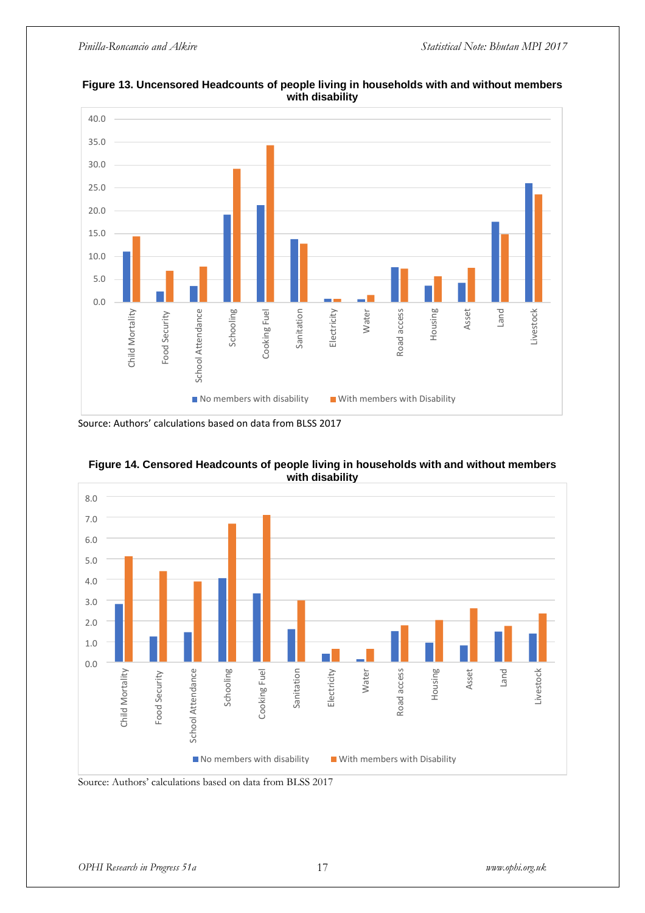

**Figure 13. Uncensored Headcounts of people living in households with and without members with disability** 

Source: Authors' calculations based on data from BLSS 2017



**Figure 14. Censored Headcounts of people living in households with and without members with disability**